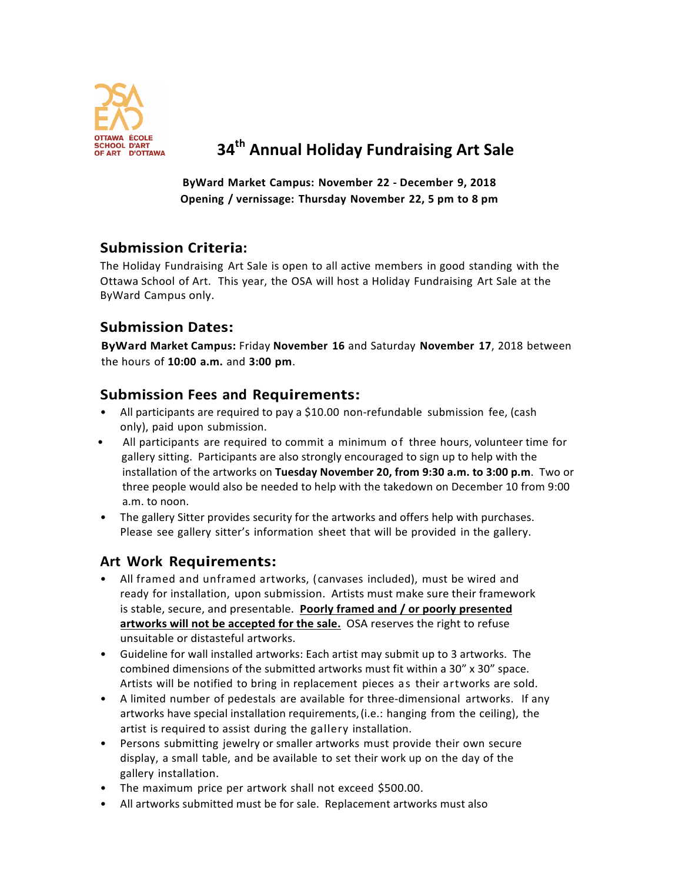

# **AND D'ART**<br>ART D'OTTAWA **34<sup>th</sup> Annual Holiday Fundraising Art Sale**

**ByWard Market Campus: November 22 - December 9, 2018 Opening / vernissage: Thursday November 22, 5 pm to 8 pm**

## **Submission Criteria:**

The Holiday Fundraising Art Sale is open to all active members in good standing with the Ottawa School of Art. This year, the OSA will host a Holiday Fundraising Art Sale at the ByWard Campus only.

## **Submission Dates:**

**ByWard Market Campus:** Friday **November 16** and Saturday **November 17**, 2018 between the hours of **10:00 a.m.** and **3:00 pm**.

#### **Submission Fees and Requirements:**

- All participants are required to pay a \$10.00 non-refundable submission fee, (cash only), paid upon submission.
- All participants are required to commit a minimum of three hours, volunteer time for gallery sitting. Participants are also strongly encouraged to sign up to help with the installation of the artworks on Tuesday November 20, from 9:30 a.m. to 3:00 p.m. Two or three people would also be needed to help with the takedown on December 10 from 9:00 a.m. to noon.
- The gallery Sitter provides security for the artworks and offers help with purchases. Please see gallery sitter's information sheet that will be provided in the gallery.

#### **Art Work Requirements:**

- All framed and unframed artworks, (canvases included), must be wired and ready for installation, upon submission. Artists must make sure their framework is stable, secure, and presentable. Poorly framed and / or poorly presented artworks will not be accepted for the sale. OSA reserves the right to refuse unsuitable or distasteful artworks.
- Guideline for wall installed artworks: Each artist may submit up to 3 artworks. The combined dimensions of the submitted artworks must fit within a 30" x 30" space. Artists will be notified to bring in replacement pieces as their artworks are sold.
- A limited number of pedestals are available for three-dimensional artworks. If any artworks have special installation requirements, (i.e.: hanging from the ceiling), the artist is required to assist during the gallery installation.
- Persons submitting jewelry or smaller artworks must provide their own secure display, a small table, and be available to set their work up on the day of the gallery installation.
- The maximum price per artwork shall not exceed \$500.00.
- All artworks submitted must be for sale. Replacement artworks must also